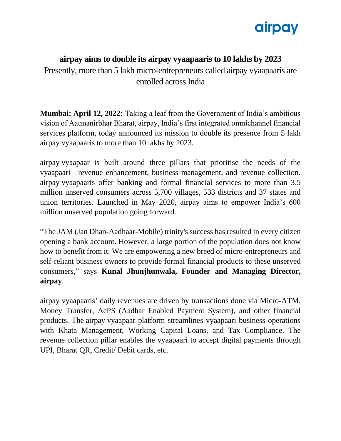

## **airpay aims to double its airpay vyaapaaris to 10 lakhs by 2023**

Presently, more than 5 lakh micro-entrepreneurs called airpay vyaapaaris are enrolled across India

**Mumbai: April 12, 2022:** Taking a leaf from the Government of India's ambitious vision of Aatmanirbhar Bharat, airpay, India's first integrated omnichannel financial services platform, today announced its mission to double its presence from 5 lakh airpay vyaapaaris to more than 10 lakhs by 2023.

airpay vyaapaar is built around three pillars that prioritise the needs of the vyaapaari—revenue enhancement, business management, and revenue collection. airpay vyaapaaris offer banking and formal financial services to more than 3.5 million unserved consumers across 5,700 villages, 533 districts and 37 states and union territories. Launched in May 2020, airpay aims to empower India's 600 million unserved population going forward.

"The JAM (Jan Dhan-Aadhaar-Mobile) trinity's success has resulted in every citizen opening a bank account. However, a large portion of the population does not know how to benefit from it. We are empowering a new breed of micro-entrepreneurs and self-reliant business owners to provide formal financial products to these unserved consumers," says **Kunal Jhunjhunwala, Founder and Managing Director, airpay**.

airpay vyaapaaris' daily revenues are driven by transactions done via Micro-ATM, Money Transfer, AePS (Aadhar Enabled Payment System), and other financial products. The airpay vyaapaar platform streamlines vyaapaari business operations with Khata Management, Working Capital Loans, and Tax Compliance. The revenue collection pillar enables the vyaapaari to accept digital payments through UPI, Bharat QR, Credit/ Debit cards, etc.